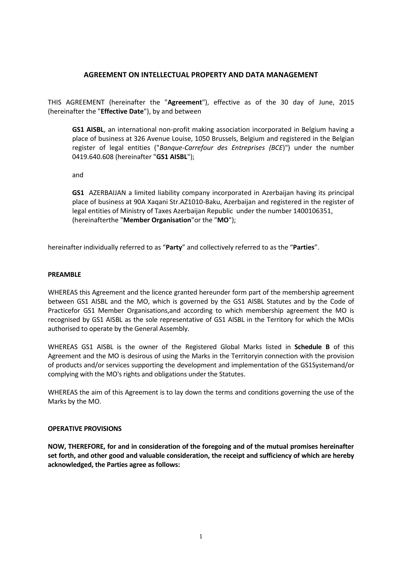### **AGREEMENT ON INTELLECTUAL PROPERTY AND DATA MANAGEMENT**

THIS AGREEMENT (hereinafter the "**Agreement**"), effective as of the 30 day of June, 2015 (hereinafter the "**Effective Date**"), by and between

**GS1 AISBL**, an international non-profit making association incorporated in Belgium having a place of business at 326 Avenue Louise, 1050 Brussels, Belgium and registered in the Belgian register of legal entities ("*Banque-Carrefour des Entreprises (BCE*)") under the number 0419.640.608 (hereinafter "**GS1 AISBL**");

and

**GS1** AZERBAIJAN a limited liability company incorporated in Azerbaijan having its principal place of business at 90A Xaqani Str.AZ1010-Baku, Azerbaijan and registered in the register of legal entities of Ministry of Taxes Azerbaijan Republic under the number 1400106351, (hereinafterthe "**Member Organisation**"or the "**MO**");

hereinafter individually referred to as "**Party**" and collectively referred to as the "**Parties**".

#### **PREAMBLE**

WHEREAS this Agreement and the licence granted hereunder form part of the membership agreement between GS1 AISBL and the MO, which is governed by the GS1 AISBL Statutes and by the Code of Practicefor GS1 Member Organisations,and according to which membership agreement the MO is recognised by GS1 AISBL as the sole representative of GS1 AISBL in the Territory for which the MOis authorised to operate by the General Assembly.

WHEREAS GS1 AISBL is the owner of the Registered Global Marks listed in **Schedule B** of this Agreement and the MO is desirous of using the Marks in the Territoryin connection with the provision of products and/or services supporting the development and implementation of the GS1Systemand/or complying with the MO's rights and obligations under the Statutes.

WHEREAS the aim of this Agreement is to lay down the terms and conditions governing the use of the Marks by the MO.

### **OPERATIVE PROVISIONS**

**NOW, THEREFORE, for and in consideration of the foregoing and of the mutual promises hereinafter set forth, and other good and valuable consideration, the receipt and sufficiency of which are hereby acknowledged, the Parties agree as follows:**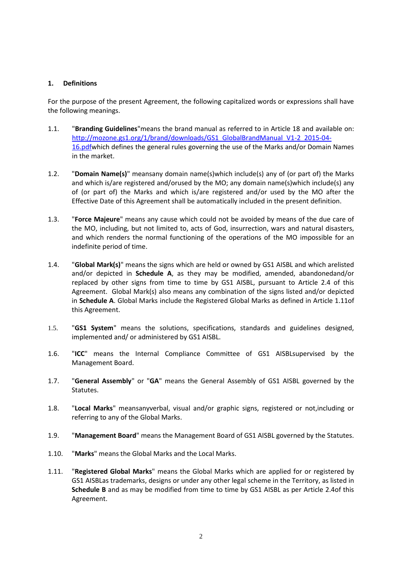### **1. Definitions**

For the purpose of the present Agreement, the following capitalized words or expressions shall have the following meanings.

- 1.1. "**Branding Guidelines**"means the brand manual as referred to in Article [18](#page-13-0) and available on: [http://mozone.gs1.org/1/brand/downloads/GS1\\_GlobalBrandManual\\_V1-2\\_2015-04-](http://mozone.gs1.org/1/brand/downloads/GS1_GlobalBrandManual_V1-2_2015-04-16.pdf) [16.pdfw](http://mozone.gs1.org/1/brand/downloads/GS1_GlobalBrandManual_V1-2_2015-04-16.pdf)hich defines the general rules governing the use of the Marks and/or Domain Names in the market.
- 1.2. "**Domain Name(s)**" meansany domain name(s)which include(s) any of (or part of) the Marks and which is/are registered and/orused by the MO; any domain name(s)which include(s) any of (or part of) the Marks and which is/are registered and/or used by the MO after the Effective Date of this Agreement shall be automatically included in the present definition.
- 1.3. "**Force Majeure**" means any cause which could not be avoided by means of the due care of the MO, including, but not limited to, acts of God, insurrection, wars and natural disasters, and which renders the normal functioning of the operations of the MO impossible for an indefinite period of time.
- 1.4. "**Global Mark(s)**" means the signs which are held or owned by GS1 AISBL and which arelisted and/or depicted in **Schedule A**, as they may be modified, amended, abandonedand/or replaced by other signs from time to time by GS1 AISBL, pursuant to Article [2.4](#page-2-0) of this Agreement. Global Mark(s) also means any combination of the signs listed and/or depicted in **Schedule A**. Global Marks include the Registered Global Marks as defined in Articl[e 1.11o](#page-1-0)f this Agreement.
- 1.5. "**GS1 System**" means the solutions, specifications, standards and guidelines designed, implemented and/ or administered by GS1 AISBL.
- 1.6. "**ICC**" means the Internal Compliance Committee of GS1 AISBLsupervised by the Management Board.
- 1.7. "**General Assembly**" or "**GA**" means the General Assembly of GS1 AISBL governed by the Statutes.
- 1.8. "**Local Marks**" meansanyverbal, visual and/or graphic signs, registered or not,including or referring to any of the Global Marks.
- 1.9. "**Management Board**" means the Management Board of GS1 AISBL governed by the Statutes.
- 1.10. "**Marks**" means the Global Marks and the Local Marks.
- <span id="page-1-0"></span>1.11. "**Registered Global Marks**" means the Global Marks which are applied for or registered by GS1 AISBLas trademarks, designs or under any other legal scheme in the Territory, as listed in **Schedule B** and as may be modified from time to time by GS1 AISBL as per Article [2.4o](#page-2-0)f this Agreement.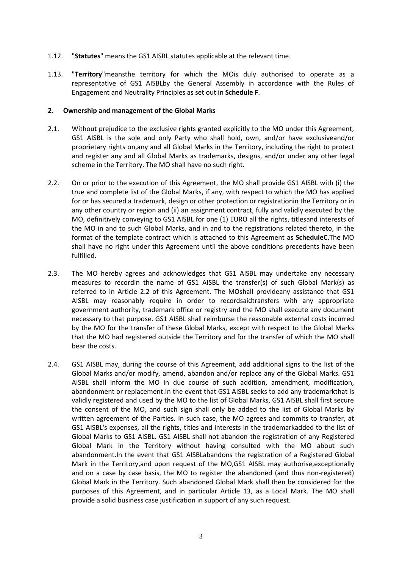- 1.12. "**Statutes**" means the GS1 AISBL statutes applicable at the relevant time.
- 1.13. "**Territory**"meansthe territory for which the MOis duly authorised to operate as a representative of GS1 AISBLby the General Assembly in accordance with the Rules of Engagement and Neutrality Principles as set out in **Schedule F**.

### <span id="page-2-2"></span>**2. Ownership and management of the Global Marks**

- 2.1. Without prejudice to the exclusive rights granted explicitly to the MO under this Agreement, GS1 AISBL is the sole and only Party who shall hold, own, and/or have exclusiveand/or proprietary rights on,any and all Global Marks in the Territory, including the right to protect and register any and all Global Marks as trademarks, designs, and/or under any other legal scheme in the Territory. The MO shall have no such right.
- <span id="page-2-1"></span>2.2. On or prior to the execution of this Agreement, the MO shall provide GS1 AISBL with (i) the true and complete list of the Global Marks, if any, with respect to which the MO has applied for or has secured a trademark, design or other protection or registrationin the Territory or in any other country or region and (ii) an assignment contract, fully and validly executed by the MO, definitively conveying to GS1 AISBL for one (1) EURO all the rights, titlesand interests of the MO in and to such Global Marks, and in and to the registrations related thereto, in the format of the template contract which is attached to this Agreement as **ScheduleC**.The MO shall have no right under this Agreement until the above conditions precedents have been fulfilled.
- 2.3. The MO hereby agrees and acknowledges that GS1 AISBL may undertake any necessary measures to recordin the name of GS1 AISBL the transfer(s) of such Global Mark(s) as referred to in Article [2.2](#page-2-1) of this Agreement. The MOshall provideany assistance that GS1 AISBL may reasonably require in order to recordsaidtransfers with any appropriate government authority, trademark office or registry and the MO shall execute any document necessary to that purpose. GS1 AISBL shall reimburse the reasonable external costs incurred by the MO for the transfer of these Global Marks, except with respect to the Global Marks that the MO had registered outside the Territory and for the transfer of which the MO shall bear the costs.
- <span id="page-2-0"></span>2.4. GS1 AISBL may, during the course of this Agreement, add additional signs to the list of the Global Marks and/or modify, amend, abandon and/or replace any of the Global Marks. GS1 AISBL shall inform the MO in due course of such addition, amendment, modification, abandonment or replacement.In the event that GS1 AISBL seeks to add any trademarkthat is validly registered and used by the MO to the list of Global Marks, GS1 AISBL shall first secure the consent of the MO, and such sign shall only be added to the list of Global Marks by written agreement of the Parties. In such case, the MO agrees and commits to transfer, at GS1 AISBL's expenses, all the rights, titles and interests in the trademarkadded to the list of Global Marks to GS1 AISBL. GS1 AISBL shall not abandon the registration of any Registered Global Mark in the Territory without having consulted with the MO about such abandonment.In the event that GS1 AISBLabandons the registration of a Registered Global Mark in the Territory,and upon request of the MO,GS1 AISBL may authorise,exceptionally and on a case by case basis, the MO to register the abandoned (and thus non-registered) Global Mark in the Territory. Such abandoned Global Mark shall then be considered for the purposes of this Agreement, and in particular Article 13, as a Local Mark. The MO shall provide a solid business case justification in support of any such request.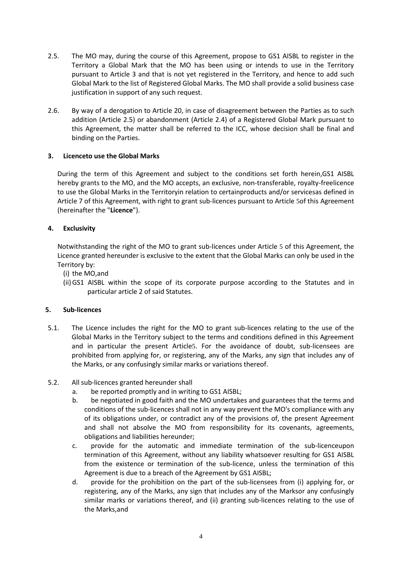- 2.5. The MO may, during the course of this Agreement, propose to GS1 AISBL to register in the Territory a Global Mark that the MO has been using or intends to use in the Territory pursuant to Article 3 and that is not yet registered in the Territory, and hence to add such Global Mark to the list of Registered Global Marks. The MO shall provide a solid business case justification in support of any such request.
- 2.6. By way of a derogation to Article 20, in case of disagreement between the Parties as to such addition (Article 2.5) or abandonment (Article 2.4) of a Registered Global Mark pursuant to this Agreement, the matter shall be referred to the ICC, whose decision shall be final and binding on the Parties.

# **3. Licenceto use the Global Marks**

During the term of this Agreement and subject to the conditions set forth herein,GS1 AISBL hereby grants to the MO, and the MO accepts, an exclusive, non-transferable, royalty-freelicence to use the Global Marks in the Territoryin relation to certainproducts and/or servicesas defined in Articl[e 7](#page-5-0) of this Agreement, with right to grant sub-licences pursuant to Article [5](#page-3-0)of this Agreement (hereinafter the "**Licence**").

# **4. Exclusivity**

Notwithstanding the right of the MO to grant sub-licences under Article [5](#page-3-0) of this Agreement, the Licence granted hereunder is exclusive to the extent that the Global Marks can only be used in the Territory by:

- (i) the MO,and
- (ii)GS1 AISBL within the scope of its corporate purpose according to the Statutes and in particular article 2 of said Statutes.

# <span id="page-3-0"></span>**5. Sub-licences**

- 5.1. The Licence includes the right for the MO to grant sub-licences relating to the use of the Global Marks in the Territory subject to the terms and conditions defined in this Agreement and in particular the present Article[5](#page-3-0). For the avoidance of doubt, sub-licensees are prohibited from applying for, or registering, any of the Marks, any sign that includes any of the Marks, or any confusingly similar marks or variations thereof.
- <span id="page-3-1"></span>5.2. All sub-licences granted hereunder shall
	- a. be reported promptly and in writing to GS1 AISBL;
	- b. be negotiated in good faith and the MO undertakes and guarantees that the terms and conditions of the sub-licences shall not in any way prevent the MO's compliance with any of its obligations under, or contradict any of the provisions of, the present Agreement and shall not absolve the MO from responsibility for its covenants, agreements, obligations and liabilities hereunder;
	- c. provide for the automatic and immediate termination of the sub-licenceupon termination of this Agreement, without any liability whatsoever resulting for GS1 AISBL from the existence or termination of the sub-licence, unless the termination of this Agreement is due to a breach of the Agreement by GS1 AISBL;
	- d. provide for the prohibition on the part of the sub-licensees from (i) applying for, or registering, any of the Marks, any sign that includes any of the Marksor any confusingly similar marks or variations thereof, and (ii) granting sub-licences relating to the use of the Marks,and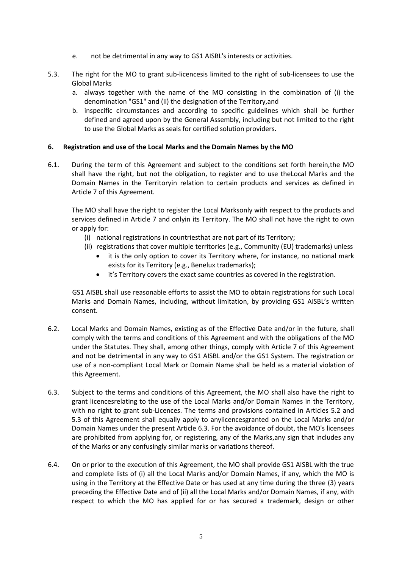- e. not be detrimental in any way to GS1 AISBL's interests or activities.
- <span id="page-4-0"></span>5.3. The right for the MO to grant sub-licencesis limited to the right of sub-licensees to use the Global Marks
	- a. always together with the name of the MO consisting in the combination of (i) the denomination "GS1" and (ii) the designation of the Territory,and
	- b. inspecific circumstances and according to specific guidelines which shall be further defined and agreed upon by the General Assembly, including but not limited to the right to use the Global Marks as seals for certified solution providers.

## **6. Registration and use of the Local Marks and the Domain Names by the MO**

6.1. During the term of this Agreement and subject to the conditions set forth herein,the MO shall have the right, but not the obligation, to register and to use theLocal Marks and the Domain Names in the Territoryin relation to certain products and services as defined in Article 7 of this Agreement.

The MO shall have the right to register the Local Marksonly with respect to the products and services defined in Article 7 and onlyin its Territory. The MO shall not have the right to own or apply for:

- (i) national registrations in countriesthat are not part of its Territory;
- (ii) registrations that cover multiple territories (e.g., Community (EU) trademarks) unless
	- it is the only option to cover its Territory where, for instance, no national mark exists for its Territory (e.g., Benelux trademarks);
	- it's Territory covers the exact same countries as covered in the registration.

GS1 AISBL shall use reasonable efforts to assist the MO to obtain registrations for such Local Marks and Domain Names, including, without limitation, by providing GS1 AISBL's written consent.

- 6.2. Local Marks and Domain Names, existing as of the Effective Date and/or in the future, shall comply with the terms and conditions of this Agreement and with the obligations of the MO under the Statutes. They shall, among other things, comply with Article 7 of this Agreement and not be detrimental in any way to GS1 AISBL and/or the GS1 System. The registration or use of a non-compliant Local Mark or Domain Name shall be held as a material violation of this Agreement.
- 6.3. Subject to the terms and conditions of this Agreement, the MO shall also have the right to grant licencesrelating to the use of the Local Marks and/or Domain Names in the Territory, with no right to grant sub-Licences. The terms and provisions contained in Articles [5.2](#page-3-1) and [5.3](#page-4-0) of this Agreement shall equally apply to anylicencesgranted on the Local Marks and/or Domain Names under the present Article 6.3. For the avoidance of doubt, the MO's licensees are prohibited from applying for, or registering, any of the Marks,any sign that includes any of the Marks or any confusingly similar marks or variations thereof.
- 6.4. On or prior to the execution of this Agreement, the MO shall provide GS1 AISBL with the true and complete lists of (i) all the Local Marks and/or Domain Names, if any, which the MO is using in the Territory at the Effective Date or has used at any time during the three (3) years preceding the Effective Date and of (ii) all the Local Marks and/or Domain Names, if any, with respect to which the MO has applied for or has secured a trademark, design or other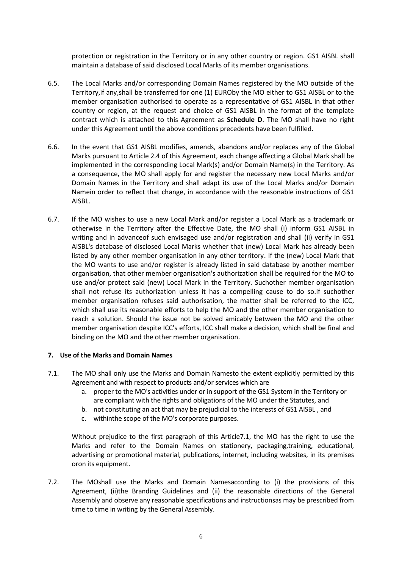protection or registration in the Territory or in any other country or region. GS1 AISBL shall maintain a database of said disclosed Local Marks of its member organisations.

- 6.5. The Local Marks and/or corresponding Domain Names registered by the MO outside of the Territory,if any,shall be transferred for one (1) EUROby the MO either to GS1 AISBL or to the member organisation authorised to operate as a representative of GS1 AISBL in that other country or region, at the request and choice of GS1 AISBL in the format of the template contract which is attached to this Agreement as **Schedule D**. The MO shall have no right under this Agreement until the above conditions precedents have been fulfilled.
- 6.6. In the event that GS1 AISBL modifies, amends, abandons and/or replaces any of the Global Marks pursuant to Article [2.4](#page-2-0) of this Agreement, each change affecting a Global Mark shall be implemented in the corresponding Local Mark(s) and/or Domain Name(s) in the Territory. As a consequence, the MO shall apply for and register the necessary new Local Marks and/or Domain Names in the Territory and shall adapt its use of the Local Marks and/or Domain Namein order to reflect that change, in accordance with the reasonable instructions of GS1 AISBL.
- 6.7. If the MO wishes to use a new Local Mark and/or register a Local Mark as a trademark or otherwise in the Territory after the Effective Date, the MO shall (i) inform GS1 AISBL in writing and in advanceof such envisaged use and/or registration and shall (ii) verify in GS1 AISBL's database of disclosed Local Marks whether that (new) Local Mark has already been listed by any other member organisation in any other territory. If the (new) Local Mark that the MO wants to use and/or register is already listed in said database by another member organisation, that other member organisation's authorization shall be required for the MO to use and/or protect said (new) Local Mark in the Territory. Suchother member organisation shall not refuse its authorization unless it has a compelling cause to do so.If suchother member organisation refuses said authorisation, the matter shall be referred to the ICC, which shall use its reasonable efforts to help the MO and the other member organisation to reach a solution. Should the issue not be solved amicably between the MO and the other member organisation despite ICC's efforts, ICC shall make a decision, which shall be final and binding on the MO and the other member organisation.

### <span id="page-5-0"></span>**7. Use of the Marks and Domain Names**

- <span id="page-5-1"></span>7.1. The MO shall only use the Marks and Domain Namesto the extent explicitly permitted by this Agreement and with respect to products and/or services which are
	- a. proper to the MO's activities under or in support of the GS1 System in the Territory or are compliant with the rights and obligations of the MO under the Statutes, and
	- b. not constituting an act that may be prejudicial to the interests of GS1 AISBL , and
	- c. withinthe scope of the MO's corporate purposes.

Without prejudice to the first paragraph of this Articl[e7.1,](#page-5-1) the MO has the right to use the Marks and refer to the Domain Names on stationery, packaging,training, educational, advertising or promotional material, publications, internet, including websites, in its premises oron its equipment.

7.2. The MOshall use the Marks and Domain Namesaccording to (i) the provisions of this Agreement, (ii)the Branding Guidelines and (ii) the reasonable directions of the General Assembly and observe any reasonable specifications and instructionsas may be prescribed from time to time in writing by the General Assembly.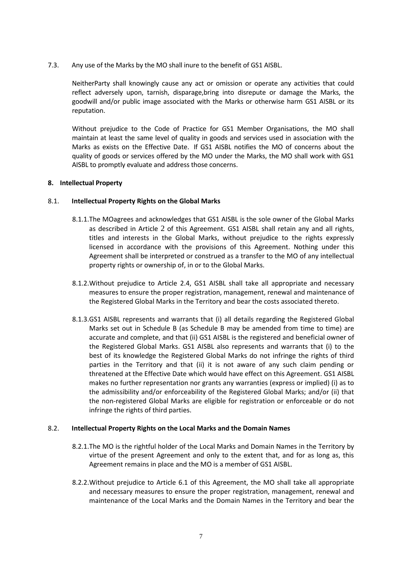7.3. Any use of the Marks by the MO shall inure to the benefit of GS1 AISBL.

NeitherParty shall knowingly cause any act or omission or operate any activities that could reflect adversely upon, tarnish, disparage,bring into disrepute or damage the Marks, the goodwill and/or public image associated with the Marks or otherwise harm GS1 AISBL or its reputation.

Without prejudice to the Code of Practice for GS1 Member Organisations, the MO shall maintain at least the same level of quality in goods and services used in association with the Marks as exists on the Effective Date. If GS1 AISBL notifies the MO of concerns about the quality of goods or services offered by the MO under the Marks, the MO shall work with GS1 AISBL to promptly evaluate and address those concerns.

### **8. Intellectual Property**

### 8.1. **Intellectual Property Rights on the Global Marks**

- 8.1.1.The MOagrees and acknowledges that GS1 AISBL is the sole owner of the Global Marks as described in Article [2](#page-2-2) of this Agreement. GS1 AISBL shall retain any and all rights, titles and interests in the Global Marks, without prejudice to the rights expressly licensed in accordance with the provisions of this Agreement. Nothing under this Agreement shall be interpreted or construed as a transfer to the MO of any intellectual property rights or ownership of, in or to the Global Marks.
- 8.1.2.Without prejudice to Article [2.4,](#page-2-0) GS1 AISBL shall take all appropriate and necessary measures to ensure the proper registration, management, renewal and maintenance of the Registered Global Marks in the Territory and bear the costs associated thereto.
- 8.1.3.GS1 AISBL represents and warrants that (i) all details regarding the Registered Global Marks set out in Schedule B (as Schedule B may be amended from time to time) are accurate and complete, and that (ii) GS1 AISBL is the registered and beneficial owner of the Registered Global Marks. GS1 AISBL also represents and warrants that (i) to the best of its knowledge the Registered Global Marks do not infringe the rights of third parties in the Territory and that (ii) it is not aware of any such claim pending or threatened at the Effective Date which would have effect on this Agreement. GS1 AISBL makes no further representation nor grants any warranties (express or implied) (i) as to the admissibility and/or enforceability of the Registered Global Marks; and/or (ii) that the non-registered Global Marks are eligible for registration or enforceable or do not infringe the rights of third parties.

#### 8.2. **Intellectual Property Rights on the Local Marks and the Domain Names**

- 8.2.1.The MO is the rightful holder of the Local Marks and Domain Names in the Territory by virtue of the present Agreement and only to the extent that, and for as long as, this Agreement remains in place and the MO is a member of GS1 AISBL.
- 8.2.2.Without prejudice to Article 6.1 of this Agreement, the MO shall take all appropriate and necessary measures to ensure the proper registration, management, renewal and maintenance of the Local Marks and the Domain Names in the Territory and bear the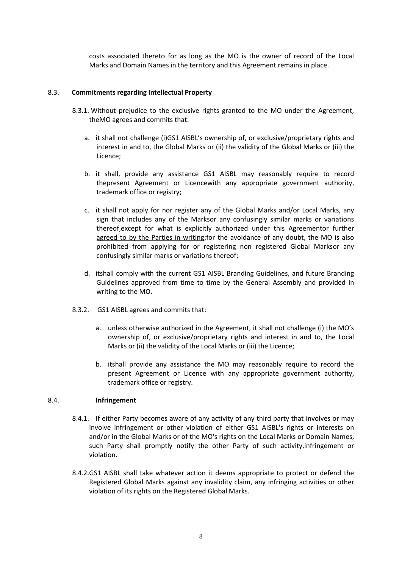costs associated thereto for as long as the MO is the owner of record of the Local Marks and Domain Names in the territory and this Agreement remains in place.

### 8.3. **Commitments regarding Intellectual Property**

- 8.3.1. Without prejudice to the exclusive rights granted to the MO under the Agreement, theMO agrees and commits that:
	- a. it shall not challenge (i)GS1 AISBL's ownership of, or exclusive/proprietary rights and interest in and to, the Global Marks or (ii) the validity of the Global Marks or (iii) the Licence;
	- b. it shall, provide any assistance GS1 AISBL may reasonably require to record thepresent Agreement or Licencewith any appropriate government authority, trademark office or registry;
	- c. it shall not apply for nor register any of the Global Marks and/or Local Marks, any sign that includes any of the Marksor any confusingly similar marks or variations thereof,except for what is explicitly authorized under this Agreementor further agreed to by the Parties in writing;for the avoidance of any doubt, the MO is also prohibited from applying for or registering non registered Global Marksor any confusingly similar marks or variations thereof;
	- d. itshall comply with the current GS1 AISBL Branding Guidelines, and future Branding Guidelines approved from time to time by the General Assembly and provided in writing to the MO.
- 8.3.2. GS1 AISBL agrees and commits that:
	- a. unless otherwise authorized in the Agreement, it shall not challenge (i) the MO's ownership of, or exclusive/proprietary rights and interest in and to, the Local Marks or (ii) the validity of the Local Marks or (iii) the Licence;
	- b. itshall provide any assistance the MO may reasonably require to record the present Agreement or Licence with any appropriate government authority, trademark office or registry.

### 8.4. **Infringement**

- 8.4.1. If either Party becomes aware of any activity of any third party that involves or may involve infringement or other violation of either GS1 AISBL's rights or interests on and/or in the Global Marks or of the MO's rights on the Local Marks or Domain Names, such Party shall promptly notify the other Party of such activity,infringement or violation.
- 8.4.2.GS1 AISBL shall take whatever action it deems appropriate to protect or defend the Registered Global Marks against any invalidity claim, any infringing activities or other violation of its rights on the Registered Global Marks.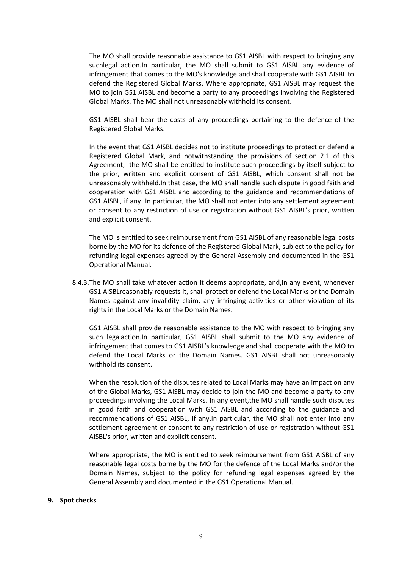The MO shall provide reasonable assistance to GS1 AISBL with respect to bringing any suchlegal action.In particular, the MO shall submit to GS1 AISBL any evidence of infringement that comes to the MO's knowledge and shall cooperate with GS1 AISBL to defend the Registered Global Marks. Where appropriate, GS1 AISBL may request the MO to join GS1 AISBL and become a party to any proceedings involving the Registered Global Marks. The MO shall not unreasonably withhold its consent.

GS1 AISBL shall bear the costs of any proceedings pertaining to the defence of the Registered Global Marks.

In the event that GS1 AISBL decides not to institute proceedings to protect or defend a Registered Global Mark, and notwithstanding the provisions of section 2.1 of this Agreement, the MO shall be entitled to institute such proceedings by itself subject to the prior, written and explicit consent of GS1 AISBL, which consent shall not be unreasonably withheld.In that case, the MO shall handle such dispute in good faith and cooperation with GS1 AISBL and according to the guidance and recommendations of GS1 AISBL, if any. In particular, the MO shall not enter into any settlement agreement or consent to any restriction of use or registration without GS1 AISBL's prior, written and explicit consent.

The MO is entitled to seek reimbursement from GS1 AISBL of any reasonable legal costs borne by the MO for its defence of the Registered Global Mark, subject to the policy for refunding legal expenses agreed by the General Assembly and documented in the GS1 Operational Manual.

8.4.3.The MO shall take whatever action it deems appropriate, and,in any event, whenever GS1 AISBLreasonably requests it, shall protect or defend the Local Marks or the Domain Names against any invalidity claim, any infringing activities or other violation of its rights in the Local Marks or the Domain Names.

GS1 AISBL shall provide reasonable assistance to the MO with respect to bringing any such legalaction.In particular, GS1 AISBL shall submit to the MO any evidence of infringement that comes to GS1 AISBL's knowledge and shall cooperate with the MO to defend the Local Marks or the Domain Names. GS1 AISBL shall not unreasonably withhold its consent.

When the resolution of the disputes related to Local Marks may have an impact on any of the Global Marks, GS1 AISBL may decide to join the MO and become a party to any proceedings involving the Local Marks. In any event,the MO shall handle such disputes in good faith and cooperation with GS1 AISBL and according to the guidance and recommendations of GS1 AISBL, if any.In particular, the MO shall not enter into any settlement agreement or consent to any restriction of use or registration without GS1 AISBL's prior, written and explicit consent.

Where appropriate, the MO is entitled to seek reimbursement from GS1 AISBL of any reasonable legal costs borne by the MO for the defence of the Local Marks and/or the Domain Names, subject to the policy for refunding legal expenses agreed by the General Assembly and documented in the GS1 Operational Manual.

#### **9. Spot checks**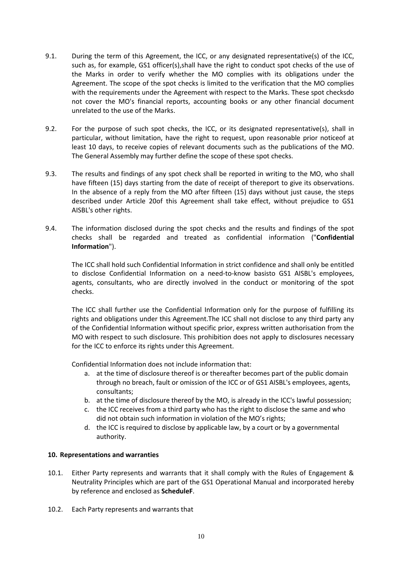- 9.1. During the term of this Agreement, the ICC, or any designated representative(s) of the ICC, such as, for example, GS1 officer(s),shall have the right to conduct spot checks of the use of the Marks in order to verify whether the MO complies with its obligations under the Agreement. The scope of the spot checks is limited to the verification that the MO complies with the requirements under the Agreement with respect to the Marks. These spot checksdo not cover the MO's financial reports, accounting books or any other financial document unrelated to the use of the Marks.
- 9.2. For the purpose of such spot checks, the ICC, or its designated representative(s), shall in particular, without limitation, have the right to request, upon reasonable prior noticeof at least 10 days, to receive copies of relevant documents such as the publications of the MO. The General Assembly may further define the scope of these spot checks.
- 9.3. The results and findings of any spot check shall be reported in writing to the MO, who shall have fifteen (15) days starting from the date of receipt of thereport to give its observations. In the absence of a reply from the MO after fifteen (15) days without just cause, the steps described under Article 20of this Agreement shall take effect, without prejudice to GS1 AISBL's other rights.
- 9.4. The information disclosed during the spot checks and the results and findings of the spot checks shall be regarded and treated as confidential information ("**Confidential Information**").

The ICC shall hold such Confidential Information in strict confidence and shall only be entitled to disclose Confidential Information on a need-to-know basisto GS1 AISBL's employees, agents, consultants, who are directly involved in the conduct or monitoring of the spot checks.

The ICC shall further use the Confidential Information only for the purpose of fulfilling its rights and obligations under this Agreement.The ICC shall not disclose to any third party any of the Confidential Information without specific prior, express written authorisation from the MO with respect to such disclosure. This prohibition does not apply to disclosures necessary for the ICC to enforce its rights under this Agreement.

Confidential Information does not include information that:

- a. at the time of disclosure thereof is or thereafter becomes part of the public domain through no breach, fault or omission of the ICC or of GS1 AISBL's employees, agents, consultants;
- b. at the time of disclosure thereof by the MO, is already in the ICC's lawful possession;
- c. the ICC receives from a third party who has the right to disclose the same and who did not obtain such information in violation of the MO's rights;
- d. the ICC is required to disclose by applicable law, by a court or by a governmental authority.

### **10. Representations and warranties**

- 10.1. Either Party represents and warrants that it shall comply with the Rules of Engagement & Neutrality Principles which are part of the GS1 Operational Manual and incorporated hereby by reference and enclosed as **ScheduleF**.
- 10.2. Each Party represents and warrants that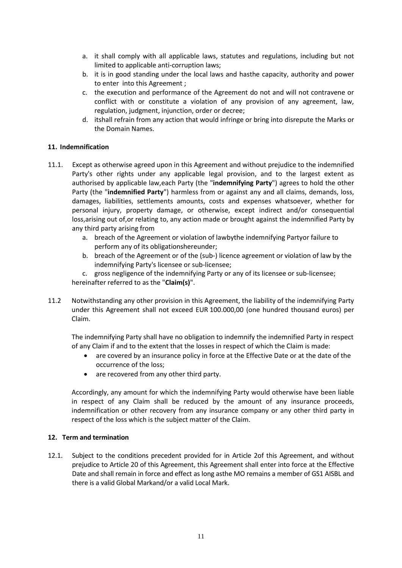- a. it shall comply with all applicable laws, statutes and regulations, including but not limited to applicable anti-corruption laws;
- b. it is in good standing under the local laws and hasthe capacity, authority and power to enter into this Agreement ;
- c. the execution and performance of the Agreement do not and will not contravene or conflict with or constitute a violation of any provision of any agreement, law, regulation, judgment, injunction, order or decree;
- d. itshall refrain from any action that would infringe or bring into disrepute the Marks or the Domain Names.

## **11. Indemnification**

- 11.1. Except as otherwise agreed upon in this Agreement and without prejudice to the indemnified Party's other rights under any applicable legal provision, and to the largest extent as authorised by applicable law,each Party (the "**indemnifying Party**") agrees to hold the other Party (the "**indemnified Party**") harmless from or against any and all claims, demands, loss, damages, liabilities, settlements amounts, costs and expenses whatsoever, whether for personal injury, property damage, or otherwise, except indirect and/or consequential loss,arising out of,or relating to, any action made or brought against the indemnified Party by any third party arising from
	- a. breach of the Agreement or violation of lawbythe indemnifying Partyor failure to perform any of its obligationshereunder;
	- b. breach of the Agreement or of the (sub-) licence agreement or violation of law by the indemnifying Party's licensee or sub-licensee;

c. gross negligence of the indemnifying Party or any of its licensee or sub-licensee; hereinafter referred to as the "**Claim(s)**".

11.2 Notwithstanding any other provision in this Agreement, the liability of the indemnifying Party under this Agreement shall not exceed EUR 100.000,00 (one hundred thousand euros) per Claim.

The indemnifying Party shall have no obligation to indemnify the indemnified Party in respect of any Claim if and to the extent that the losses in respect of which the Claim is made:

- are covered by an insurance policy in force at the Effective Date or at the date of the occurrence of the loss;
- are recovered from any other third party.

Accordingly, any amount for which the indemnifying Party would otherwise have been liable in respect of any Claim shall be reduced by the amount of any insurance proceeds, indemnification or other recovery from any insurance company or any other third party in respect of the loss which is the subject matter of the Claim.

### **12. Term and termination**

12.1. Subject to the conditions precedent provided for in Article 2of this Agreement, and without prejudice to Article [20](#page-14-0) of this Agreement, this Agreement shall enter into force at the Effective Date and shall remain in force and effect as long asthe MO remains a member of GS1 AISBL and there is a valid Global Markand/or a valid Local Mark.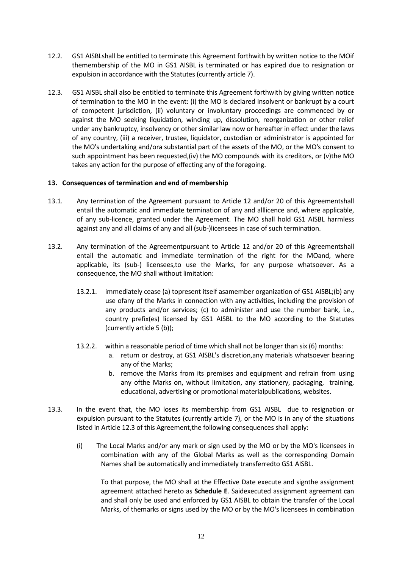- 12.2. GS1 AISBLshall be entitled to terminate this Agreement forthwith by written notice to the MOif themembership of the MO in GS1 AISBL is terminated or has expired due to resignation or expulsion in accordance with the Statutes (currently article 7).
- 12.3. GS1 AISBL shall also be entitled to terminate this Agreement forthwith by giving written notice of termination to the MO in the event: (i) the MO is declared insolvent or bankrupt by a court of competent jurisdiction, (ii) voluntary or involuntary proceedings are commenced by or against the MO seeking liquidation, winding up, dissolution, reorganization or other relief under any bankruptcy, insolvency or other similar law now or hereafter in effect under the laws of any country, (iii) a receiver, trustee, liquidator, custodian or administrator is appointed for the MO's undertaking and/ora substantial part of the assets of the MO, or the MO's consent to such appointment has been requested,(iv) the MO compounds with its creditors, or (v)the MO takes any action for the purpose of effecting any of the foregoing.

## **13. Consequences of termination and end of membership**

- 13.1. Any termination of the Agreement pursuant to Article 12 and/or [20](#page-14-0) of this Agreementshall entail the automatic and immediate termination of any and alllicence and, where applicable, of any sub-licence, granted under the Agreement. The MO shall hold GS1 AISBL harmless against any and all claims of any and all (sub-)licensees in case of such termination.
- 13.2. Any termination of the Agreementpursuant to Article 12 and/or [20](#page-14-0) of this Agreementshall entail the automatic and immediate termination of the right for the MOand, where applicable, its (sub-) licensees,to use the Marks, for any purpose whatsoever. As a consequence, the MO shall without limitation:
	- 13.2.1. immediately cease (a) topresent itself asamember organization of GS1 AISBL;(b) any use ofany of the Marks in connection with any activities, including the provision of any products and/or services; (c) to administer and use the number bank, i.e., country prefix(es) licensed by GS1 AISBL to the MO according to the Statutes (currently article 5 (b));
	- 13.2.2. within a reasonable period of time which shall not be longer than six (6) months:
		- a. return or destroy, at GS1 AISBL's discretion,any materials whatsoever bearing any of the Marks;
		- b. remove the Marks from its premises and equipment and refrain from using any ofthe Marks on, without limitation, any stationery, packaging, training, educational, advertising or promotional materialpublications, websites.
- 13.3. In the event that, the MO loses its membership from GS1 AISBL due to resignation or expulsion pursuant to the Statutes (currently article 7), or the MO is in any of the situations listed in Article 12.3 of this Agreement,the following consequences shall apply:
	- (i) The Local Marks and/or any mark or sign used by the MO or by the MO's licensees in combination with any of the Global Marks as well as the corresponding Domain Names shall be automatically and immediately transferredto GS1 AISBL.

To that purpose, the MO shall at the Effective Date execute and signthe assignment agreement attached hereto as **Schedule E**. Saidexecuted assignment agreement can and shall only be used and enforced by GS1 AISBL to obtain the transfer of the Local Marks, of themarks or signs used by the MO or by the MO's licensees in combination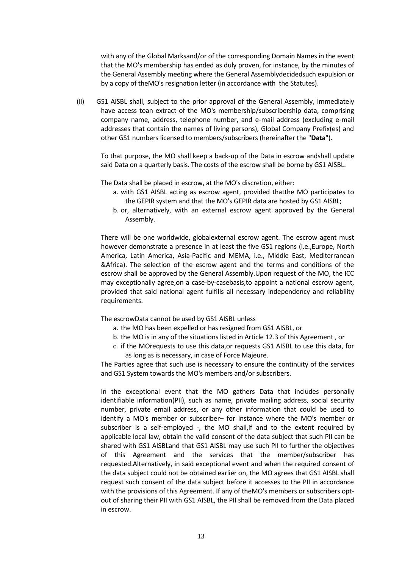with any of the Global Marksand/or of the corresponding Domain Names in the event that the MO's membership has ended as duly proven, for instance, by the minutes of the General Assembly meeting where the General Assemblydecidedsuch expulsion or by a copy of theMO's resignation letter (in accordance with the Statutes).

(ii) GS1 AISBL shall, subject to the prior approval of the General Assembly, immediately have access toan extract of the MO's membership/subscribership data, comprising company name, address, telephone number, and e-mail address (excluding e-mail addresses that contain the names of living persons), Global Company Prefix(es) and other GS1 numbers licensed to members/subscribers (hereinafter the "**Data**").

To that purpose, the MO shall keep a back-up of the Data in escrow andshall update said Data on a quarterly basis. The costs of the escrow shall be borne by GS1 AISBL.

The Data shall be placed in escrow, at the MO's discretion, either:

- a. with GS1 AISBL acting as escrow agent, provided thatthe MO participates to the GEPIR system and that the MO's GEPIR data are hosted by GS1 AISBL;
- b. or, alternatively, with an external escrow agent approved by the General Assembly.

There will be one worldwide, globalexternal escrow agent. The escrow agent must however demonstrate a presence in at least the five GS1 regions (i.e.,Europe, North America, Latin America, Asia-Pacific and MEMA, i.e., Middle East, Mediterranean &Africa). The selection of the escrow agent and the terms and conditions of the escrow shall be approved by the General Assembly.Upon request of the MO, the ICC may exceptionally agree,on a case-by-casebasis,to appoint a national escrow agent, provided that said national agent fulfills all necessary independency and reliability requirements.

The escrowData cannot be used by GS1 AISBL unless

- a. the MO has been expelled or has resigned from GS1 AISBL, or
- b. the MO is in any of the situations listed in Article 12.3 of this Agreement , or
- c. if the MOrequests to use this data,or requests GS1 AISBL to use this data, for as long as is necessary, in case of Force Majeure.

The Parties agree that such use is necessary to ensure the continuity of the services and GS1 System towards the MO's members and/or subscribers.

In the exceptional event that the MO gathers Data that includes personally identifiable information(PII), such as name, private mailing address, social security number, private email address, or any other information that could be used to identify a MO's member or subscriber– for instance where the MO's member or subscriber is a self-employed -, the MO shall,if and to the extent required by applicable local law, obtain the valid consent of the data subject that such PII can be shared with GS1 AISBLand that GS1 AISBL may use such PII to further the objectives of this Agreement and the services that the member/subscriber has requested.Alternatively, in said exceptional event and when the required consent of the data subject could not be obtained earlier on, the MO agrees that GS1 AISBL shall request such consent of the data subject before it accesses to the PII in accordance with the provisions of this Agreement. If any of theMO's members or subscribers optout of sharing their PII with GS1 AISBL, the PII shall be removed from the Data placed in escrow.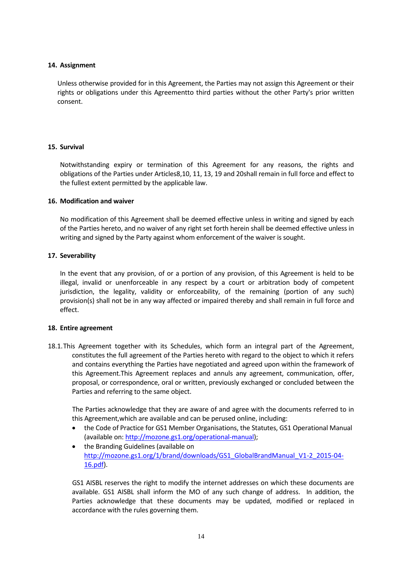### **14. Assignment**

Unless otherwise provided for in this Agreement, the Parties may not assign this Agreement or their rights or obligations under this Agreementto third parties without the other Party's prior written consent.

## **15. Survival**

Notwithstanding expiry or termination of this Agreement for any reasons, the rights and obligations of the Parties under Articles8,10, 11, 13, 19 and 20shall remain in full force and effect to the fullest extent permitted by the applicable law.

### **16. Modification and waiver**

No modification of this Agreement shall be deemed effective unless in writing and signed by each of the Parties hereto, and no waiver of any right set forth herein shall be deemed effective unless in writing and signed by the Party against whom enforcement of the waiver is sought.

## **17. Severability**

In the event that any provision, of or a portion of any provision, of this Agreement is held to be illegal, invalid or unenforceable in any respect by a court or arbitration body of competent jurisdiction, the legality, validity or enforceability, of the remaining (portion of any such) provision(s) shall not be in any way affected or impaired thereby and shall remain in full force and effect.

### <span id="page-13-0"></span>**18. Entire agreement**

18.1.This Agreement together with its Schedules, which form an integral part of the Agreement, constitutes the full agreement of the Parties hereto with regard to the object to which it refers and contains everything the Parties have negotiated and agreed upon within the framework of this Agreement.This Agreement replaces and annuls any agreement, communication, offer, proposal, or correspondence, oral or written, previously exchanged or concluded between the Parties and referring to the same object.

The Parties acknowledge that they are aware of and agree with the documents referred to in this Agreement,which are available and can be perused online, including:

- the Code of Practice for GS1 Member Organisations, the Statutes, GS1 Operational Manual (available on[: http://mozone.gs1.org/operational-manual\)](http://mozone.gs1.org/operational-manual);
- the Branding Guidelines (available on [http://mozone.gs1.org/1/brand/downloads/GS1\\_GlobalBrandManual\\_V1-2\\_2015-04-](http://mozone.gs1.org/1/brand/downloads/GS1_GlobalBrandManual_V1-2_2015-04-16.pdf) [16.pdf\)](http://mozone.gs1.org/1/brand/downloads/GS1_GlobalBrandManual_V1-2_2015-04-16.pdf).

GS1 AISBL reserves the right to modify the internet addresses on which these documents are available. GS1 AISBL shall inform the MO of any such change of address. In addition, the Parties acknowledge that these documents may be updated, modified or replaced in accordance with the rules governing them.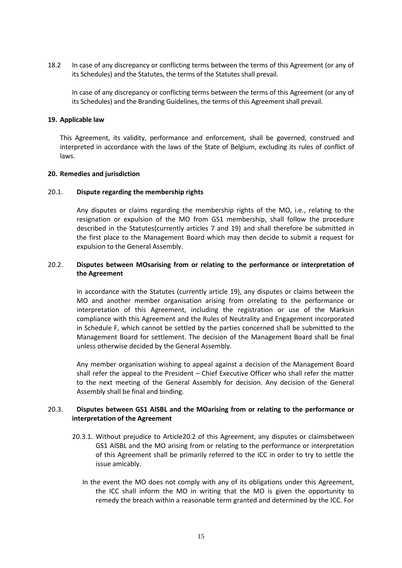18.2 In case of any discrepancy or conflicting terms between the terms of this Agreement (or any of its Schedules) and the Statutes, the terms of the Statutes shall prevail.

In case of any discrepancy or conflicting terms between the terms of this Agreement (or any of its Schedules) and the Branding Guidelines, the terms of this Agreement shall prevail.

#### **19. Applicable law**

This Agreement, its validity, performance and enforcement, shall be governed, construed and interpreted in accordance with the laws of the State of Belgium, excluding its rules of conflict of laws.

#### <span id="page-14-0"></span>**20. Remedies and jurisdiction**

#### <span id="page-14-1"></span>20.1. **Dispute regarding the membership rights**

Any disputes or claims regarding the membership rights of the MO, i.e., relating to the resignation or expulsion of the MO from GS1 membership, shall follow the procedure described in the Statutes(currently articles 7 and 19) and shall therefore be submitted in the first place to the Management Board which may then decide to submit a request for expulsion to the General Assembly.

### 20.2. **Disputes between MOsarising from or relating to the performance or interpretation of the Agreement**

In accordance with the Statutes (currently article 19), any disputes or claims between the MO and another member organisation arising from orrelating to the performance or interpretation of this Agreement, including the registration or use of the Marksin compliance with this Agreement and the Rules of Neutrality and Engagement incorporated in Schedule F, which cannot be settled by the parties concerned shall be submitted to the Management Board for settlement. The decision of the Management Board shall be final unless otherwise decided by the General Assembly.

Any member organisation wishing to appeal against a decision of the Management Board shall refer the appeal to the President – Chief Executive Officer who shall refer the matter to the next meeting of the General Assembly for decision. Any decision of the General Assembly shall be final and binding.

## 20.3. **Disputes between GS1 AISBL and the MOarising from or relating to the performance or interpretation of the Agreement**

- 20.3.1. Without prejudice to Article20.2 of this Agreement, any disputes or claimsbetween GS1 AISBL and the MO arising from or relating to the performance or interpretation of this Agreement shall be primarily referred to the ICC in order to try to settle the issue amicably.
	- In the event the MO does not comply with any of its obligations under this Agreement, the ICC shall inform the MO in writing that the MO is given the opportunity to remedy the breach within a reasonable term granted and determined by the ICC. For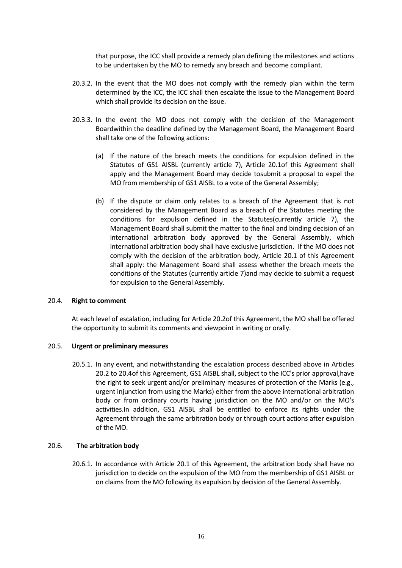that purpose, the ICC shall provide a remedy plan defining the milestones and actions to be undertaken by the MO to remedy any breach and become compliant.

- 20.3.2. In the event that the MO does not comply with the remedy plan within the term determined by the ICC, the ICC shall then escalate the issue to the Management Board which shall provide its decision on the issue.
- 20.3.3. In the event the MO does not comply with the decision of the Management Boardwithin the deadline defined by the Management Board, the Management Board shall take one of the following actions:
	- (a) If the nature of the breach meets the conditions for expulsion defined in the Statutes of GS1 AISBL (currently article 7), Article 20.1of this Agreement shall apply and the Management Board may decide tosubmit a proposal to expel the MO from membership of GS1 AISBL to a vote of the General Assembly;
	- (b) If the dispute or claim only relates to a breach of the Agreement that is not considered by the Management Board as a breach of the Statutes meeting the conditions for expulsion defined in the Statutes(currently article 7), the Management Board shall submit the matter to the final and binding decision of an international arbitration body approved by the General Assembly, which international arbitration body shall have exclusive jurisdiction. If the MO does not comply with the decision of the arbitration body, Article 20.1 of this Agreement shall apply: the Management Board shall assess whether the breach meets the conditions of the Statutes (currently article 7)and may decide to submit a request for expulsion to the General Assembly.

### <span id="page-15-0"></span>20.4. **Right to comment**

At each level of escalation, including for Article 20.2of this Agreement, the MO shall be offered the opportunity to submit its comments and viewpoint in writing or orally.

### 20.5. **Urgent or preliminary measures**

20.5.1. In any event, and notwithstanding the escalation process described above in Articles 20.2 to [20.4o](#page-15-0)f this Agreement, GS1 AISBL shall, subject to the ICC's prior approval,have the right to seek urgent and/or preliminary measures of protection of the Marks (e.g., urgent injunction from using the Marks) either from the above international arbitration body or from ordinary courts having jurisdiction on the MO and/or on the MO's activities.In addition, GS1 AISBL shall be entitled to enforce its rights under the Agreement through the same arbitration body or through court actions after expulsion of the MO.

### 20.6. **The arbitration body**

20.6.1. In accordance with Article [20.1](#page-14-1) of this Agreement, the arbitration body shall have no jurisdiction to decide on the expulsion of the MO from the membership of GS1 AISBL or on claims from the MO following its expulsion by decision of the General Assembly.